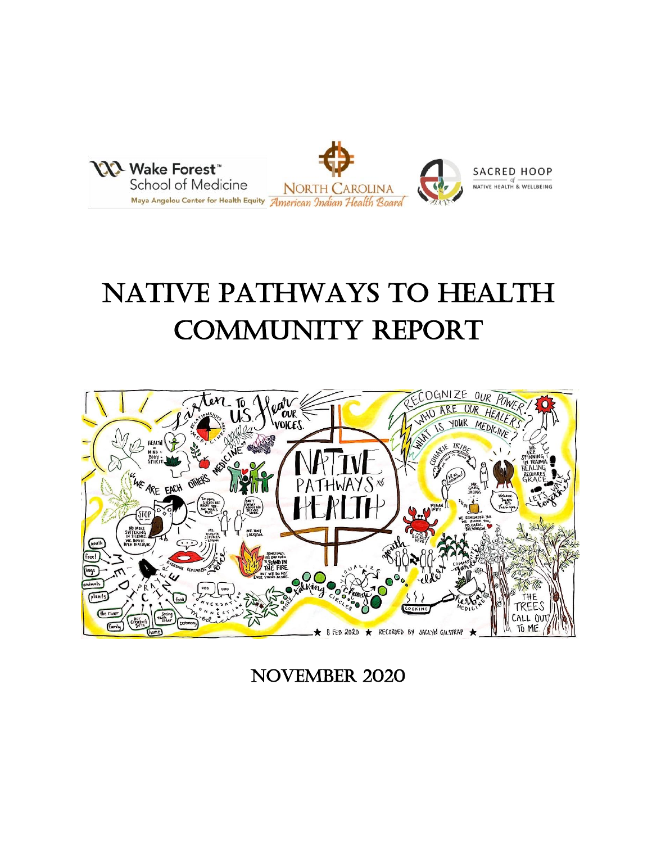

# Native Pathways to Health Community Report



November 2020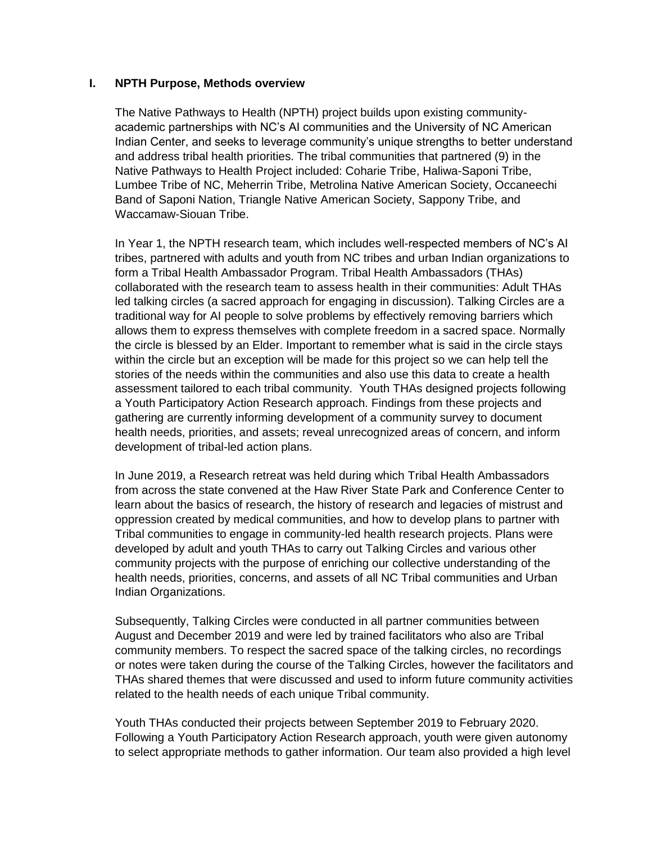## **I. NPTH Purpose, Methods overview**

The Native Pathways to Health (NPTH) project builds upon existing communityacademic partnerships with NC's AI communities and the University of NC American Indian Center, and seeks to leverage community's unique strengths to better understand and address tribal health priorities. The tribal communities that partnered (9) in the Native Pathways to Health Project included: Coharie Tribe, Haliwa-Saponi Tribe, Lumbee Tribe of NC, Meherrin Tribe, Metrolina Native American Society, Occaneechi Band of Saponi Nation, Triangle Native American Society, Sappony Tribe, and Waccamaw-Siouan Tribe.

In Year 1, the NPTH research team, which includes well-respected members of NC's AI tribes, partnered with adults and youth from NC tribes and urban Indian organizations to form a Tribal Health Ambassador Program. Tribal Health Ambassadors (THAs) collaborated with the research team to assess health in their communities: Adult THAs led talking circles (a sacred approach for engaging in discussion). Talking Circles are a traditional way for AI people to solve problems by effectively removing barriers which allows them to express themselves with complete freedom in a sacred space. Normally the circle is blessed by an Elder. Important to remember what is said in the circle stays within the circle but an exception will be made for this project so we can help tell the stories of the needs within the communities and also use this data to create a health assessment tailored to each tribal community. Youth THAs designed projects following a Youth Participatory Action Research approach. Findings from these projects and gathering are currently informing development of a community survey to document health needs, priorities, and assets; reveal unrecognized areas of concern, and inform development of tribal-led action plans.

In June 2019, a Research retreat was held during which Tribal Health Ambassadors from across the state convened at the Haw River State Park and Conference Center to learn about the basics of research, the history of research and legacies of mistrust and oppression created by medical communities, and how to develop plans to partner with Tribal communities to engage in community-led health research projects. Plans were developed by adult and youth THAs to carry out Talking Circles and various other community projects with the purpose of enriching our collective understanding of the health needs, priorities, concerns, and assets of all NC Tribal communities and Urban Indian Organizations.

Subsequently, Talking Circles were conducted in all partner communities between August and December 2019 and were led by trained facilitators who also are Tribal community members. To respect the sacred space of the talking circles, no recordings or notes were taken during the course of the Talking Circles, however the facilitators and THAs shared themes that were discussed and used to inform future community activities related to the health needs of each unique Tribal community.

Youth THAs conducted their projects between September 2019 to February 2020. Following a Youth Participatory Action Research approach, youth were given autonomy to select appropriate methods to gather information. Our team also provided a high level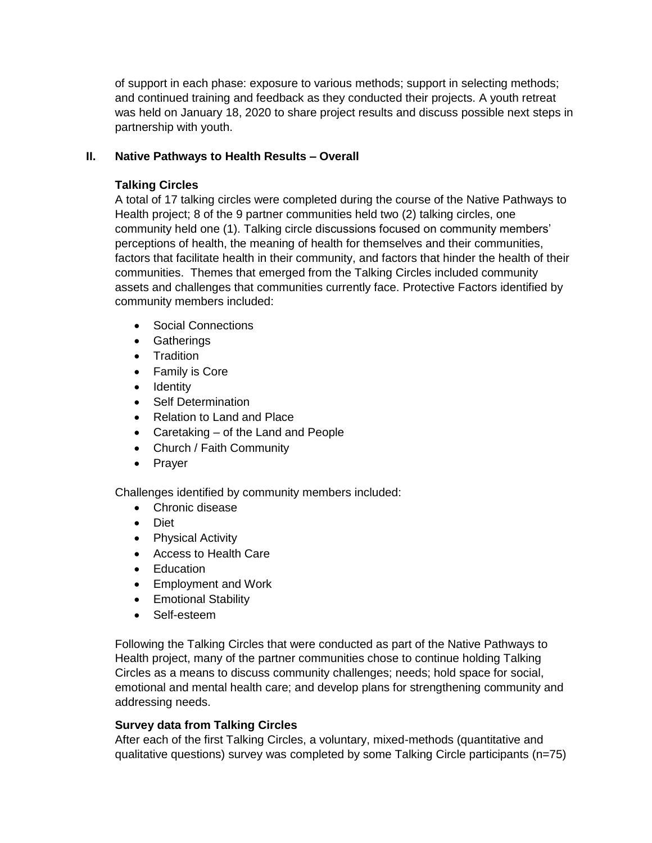of support in each phase: exposure to various methods; support in selecting methods; and continued training and feedback as they conducted their projects. A youth retreat was held on January 18, 2020 to share project results and discuss possible next steps in partnership with youth.

# **II. Native Pathways to Health Results – Overall**

# **Talking Circles**

A total of 17 talking circles were completed during the course of the Native Pathways to Health project; 8 of the 9 partner communities held two (2) talking circles, one community held one (1). Talking circle discussions focused on community members' perceptions of health, the meaning of health for themselves and their communities, factors that facilitate health in their community, and factors that hinder the health of their communities. Themes that emerged from the Talking Circles included community assets and challenges that communities currently face. Protective Factors identified by community members included:

- Social Connections
- **•** Gatherings
- Tradition
- Family is Core
- Identity
- Self Determination
- Relation to Land and Place
- Caretaking of the Land and People
- Church / Faith Community
- Prayer

Challenges identified by community members included:

- Chronic disease
- Diet
- Physical Activity
- Access to Health Care
- Education
- Employment and Work
- Emotional Stability
- Self-esteem

Following the Talking Circles that were conducted as part of the Native Pathways to Health project, many of the partner communities chose to continue holding Talking Circles as a means to discuss community challenges; needs; hold space for social, emotional and mental health care; and develop plans for strengthening community and addressing needs.

## **Survey data from Talking Circles**

After each of the first Talking Circles, a voluntary, mixed-methods (quantitative and qualitative questions) survey was completed by some Talking Circle participants (n=75)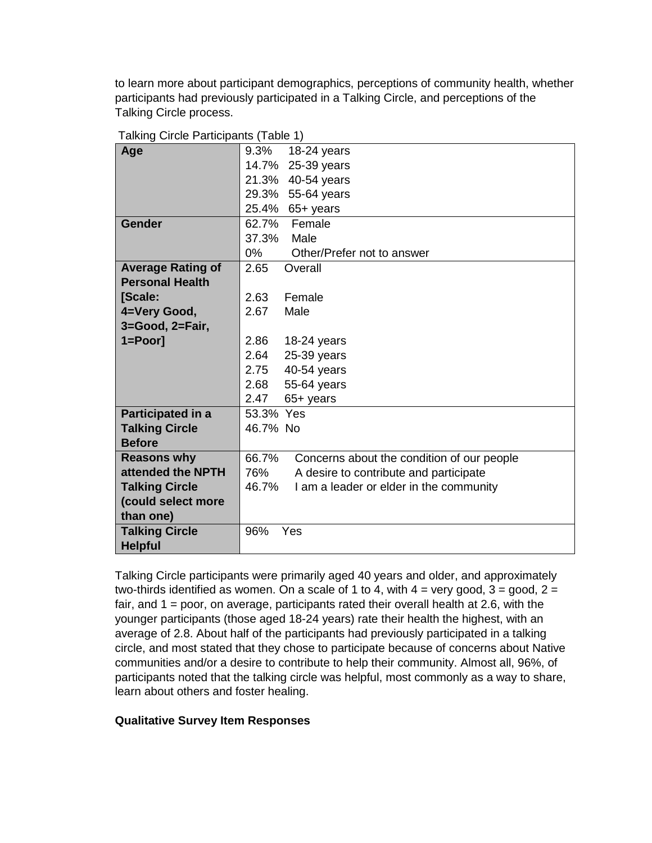to learn more about participant demographics, perceptions of community health, whether participants had previously participated in a Talking Circle, and perceptions of the Talking Circle process.

| $\frac{1}{2}$            |           |                                            |
|--------------------------|-----------|--------------------------------------------|
| Age                      | 9.3%      | 18-24 years                                |
|                          |           | 14.7% 25-39 years                          |
|                          |           | 21.3% 40-54 years                          |
|                          |           | 29.3% 55-64 years                          |
|                          |           | 25.4% 65+ years                            |
| <b>Gender</b>            | 62.7%     | Female                                     |
|                          | 37.3%     | Male                                       |
|                          | 0%        | Other/Prefer not to answer                 |
| <b>Average Rating of</b> | 2.65      | Overall                                    |
| <b>Personal Health</b>   |           |                                            |
| [Scale:                  | 2.63      | Female                                     |
| 4=Very Good,             | 2.67      | Male                                       |
| 3=Good, 2=Fair,          |           |                                            |
| $1 = Poor$ ]             | 2.86      | $18-24$ years                              |
|                          | 2.64      | 25-39 years                                |
|                          | 2.75      | 40-54 years                                |
|                          | 2.68      | 55-64 years                                |
|                          | 2.47      | 65+ years                                  |
| Participated in a        | 53.3% Yes |                                            |
| <b>Talking Circle</b>    | 46.7% No  |                                            |
| <b>Before</b>            |           |                                            |
| <b>Reasons why</b>       | 66.7%     | Concerns about the condition of our people |
| attended the NPTH        | 76%       | A desire to contribute and participate     |
| <b>Talking Circle</b>    | 46.7%     | I am a leader or elder in the community    |
| (could select more       |           |                                            |
| than one)                |           |                                            |
| <b>Talking Circle</b>    | 96%       | Yes                                        |
| <b>Helpful</b>           |           |                                            |

|  |  | Talking Circle Participants (Table 1) |  |  |
|--|--|---------------------------------------|--|--|
|--|--|---------------------------------------|--|--|

Talking Circle participants were primarily aged 40 years and older, and approximately two-thirds identified as women. On a scale of 1 to 4, with  $4 = \text{very good}, 3 = \text{good}, 2 = \text{good}$ fair, and 1 = poor, on average, participants rated their overall health at 2.6, with the younger participants (those aged 18-24 years) rate their health the highest, with an average of 2.8. About half of the participants had previously participated in a talking circle, and most stated that they chose to participate because of concerns about Native communities and/or a desire to contribute to help their community. Almost all, 96%, of participants noted that the talking circle was helpful, most commonly as a way to share, learn about others and foster healing.

## **Qualitative Survey Item Responses**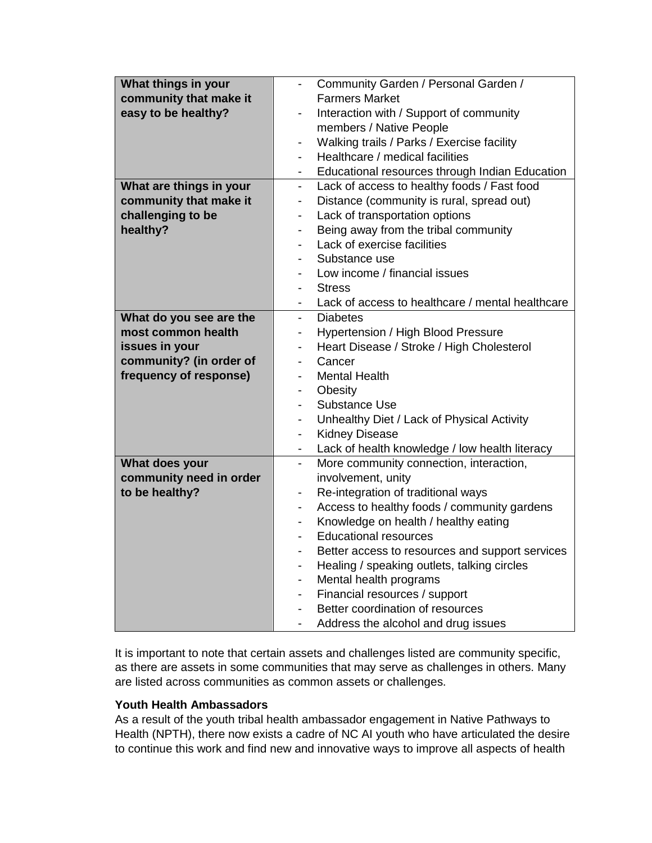| What things in your     | Community Garden / Personal Garden /<br>$\blacksquare$                      |  |
|-------------------------|-----------------------------------------------------------------------------|--|
| community that make it  | <b>Farmers Market</b>                                                       |  |
| easy to be healthy?     | Interaction with / Support of community<br>$\overline{\phantom{a}}$         |  |
|                         | members / Native People                                                     |  |
|                         | Walking trails / Parks / Exercise facility<br>$\overline{\phantom{a}}$      |  |
|                         | Healthcare / medical facilities<br>$\overline{\phantom{0}}$                 |  |
|                         | Educational resources through Indian Education                              |  |
| What are things in your | Lack of access to healthy foods / Fast food<br>$\overline{\phantom{0}}$     |  |
| community that make it  | Distance (community is rural, spread out)<br>$\overline{\phantom{a}}$       |  |
| challenging to be       | Lack of transportation options<br>$\blacksquare$                            |  |
| healthy?                | Being away from the tribal community<br>$\overline{\phantom{0}}$            |  |
|                         | Lack of exercise facilities                                                 |  |
|                         | Substance use                                                               |  |
|                         | Low income / financial issues                                               |  |
|                         | <b>Stress</b>                                                               |  |
|                         | Lack of access to healthcare / mental healthcare                            |  |
| What do you see are the | <b>Diabetes</b><br>$\overline{a}$                                           |  |
| most common health      | Hypertension / High Blood Pressure<br>-                                     |  |
| issues in your          | Heart Disease / Stroke / High Cholesterol<br>$\overline{\phantom{0}}$       |  |
| community? (in order of | Cancer<br>$\overline{\phantom{a}}$                                          |  |
| frequency of response)  | <b>Mental Health</b>                                                        |  |
|                         | Obesity<br>$\overline{\phantom{0}}$                                         |  |
|                         | Substance Use<br>$\qquad \qquad \blacksquare$                               |  |
|                         | Unhealthy Diet / Lack of Physical Activity<br>$\qquad \qquad \blacksquare$  |  |
|                         | <b>Kidney Disease</b><br>$\overline{\phantom{a}}$                           |  |
|                         | Lack of health knowledge / low health literacy<br>Ξ.                        |  |
| What does your          | More community connection, interaction,<br>$\blacksquare$                   |  |
| community need in order | involvement, unity                                                          |  |
| to be healthy?          | Re-integration of traditional ways<br>$\qquad \qquad \blacksquare$          |  |
|                         | Access to healthy foods / community gardens<br>$\overline{\phantom{0}}$     |  |
|                         | Knowledge on health / healthy eating<br>$\qquad \qquad \blacksquare$        |  |
|                         | <b>Educational resources</b><br>$\overline{\phantom{0}}$                    |  |
|                         | Better access to resources and support services<br>$\overline{\phantom{0}}$ |  |
|                         | Healing / speaking outlets, talking circles<br>$\overline{\phantom{0}}$     |  |
|                         | Mental health programs<br>$\overline{\phantom{a}}$                          |  |
|                         | Financial resources / support<br>$\overline{\phantom{0}}$                   |  |
|                         | Better coordination of resources                                            |  |
|                         | Address the alcohol and drug issues                                         |  |

It is important to note that certain assets and challenges listed are community specific, as there are assets in some communities that may serve as challenges in others. Many are listed across communities as common assets or challenges.

## **Youth Health Ambassadors**

As a result of the youth tribal health ambassador engagement in Native Pathways to Health (NPTH), there now exists a cadre of NC AI youth who have articulated the desire to continue this work and find new and innovative ways to improve all aspects of health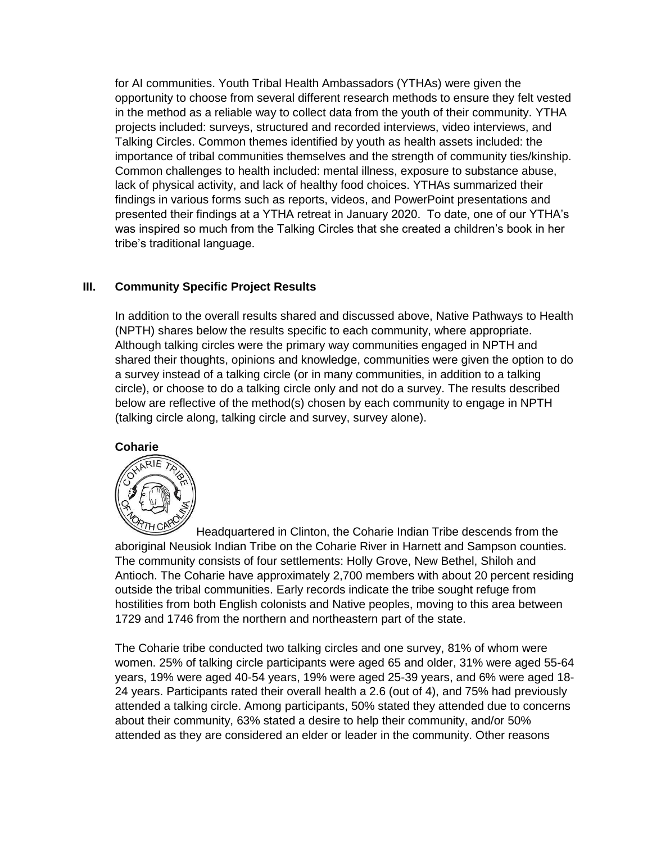for AI communities. Youth Tribal Health Ambassadors (YTHAs) were given the opportunity to choose from several different research methods to ensure they felt vested in the method as a reliable way to collect data from the youth of their community. YTHA projects included: surveys, structured and recorded interviews, video interviews, and Talking Circles. Common themes identified by youth as health assets included: the importance of tribal communities themselves and the strength of community ties/kinship. Common challenges to health included: mental illness, exposure to substance abuse, lack of physical activity, and lack of healthy food choices. YTHAs summarized their findings in various forms such as reports, videos, and PowerPoint presentations and presented their findings at a YTHA retreat in January 2020. To date, one of our YTHA's was inspired so much from the Talking Circles that she created a children's book in her tribe's traditional language.

## **III. Community Specific Project Results**

In addition to the overall results shared and discussed above, Native Pathways to Health (NPTH) shares below the results specific to each community, where appropriate. Although talking circles were the primary way communities engaged in NPTH and shared their thoughts, opinions and knowledge, communities were given the option to do a survey instead of a talking circle (or in many communities, in addition to a talking circle), or choose to do a talking circle only and not do a survey. The results described below are reflective of the method(s) chosen by each community to engage in NPTH (talking circle along, talking circle and survey, survey alone).

## **Coharie**



Headquartered in Clinton, the Coharie Indian Tribe descends from the aboriginal Neusiok Indian Tribe on the Coharie River in Harnett and Sampson counties. The community consists of four settlements: Holly Grove, New Bethel, Shiloh and Antioch. The Coharie have approximately 2,700 members with about 20 percent residing outside the tribal communities. Early records indicate the tribe sought refuge from hostilities from both English colonists and Native peoples, moving to this area between 1729 and 1746 from the northern and northeastern part of the state.

The Coharie tribe conducted two talking circles and one survey, 81% of whom were women. 25% of talking circle participants were aged 65 and older, 31% were aged 55-64 years, 19% were aged 40-54 years, 19% were aged 25-39 years, and 6% were aged 18- 24 years. Participants rated their overall health a 2.6 (out of 4), and 75% had previously attended a talking circle. Among participants, 50% stated they attended due to concerns about their community, 63% stated a desire to help their community, and/or 50% attended as they are considered an elder or leader in the community. Other reasons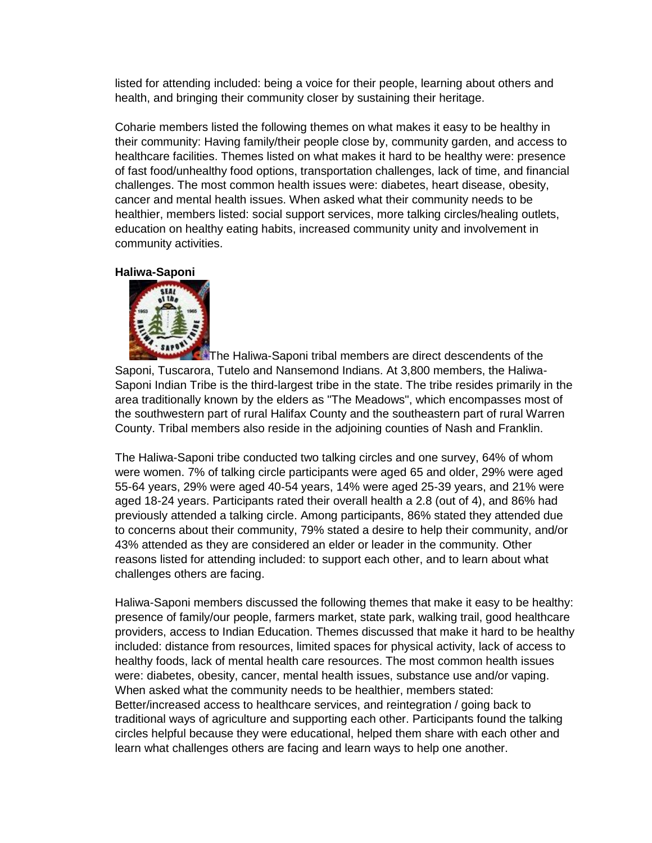listed for attending included: being a voice for their people, learning about others and health, and bringing their community closer by sustaining their heritage.

Coharie members listed the following themes on what makes it easy to be healthy in their community: Having family/their people close by, community garden, and access to healthcare facilities. Themes listed on what makes it hard to be healthy were: presence of fast food/unhealthy food options, transportation challenges, lack of time, and financial challenges. The most common health issues were: diabetes, heart disease, obesity, cancer and mental health issues. When asked what their community needs to be healthier, members listed: social support services, more talking circles/healing outlets, education on healthy eating habits, increased community unity and involvement in community activities.

#### **Haliwa-Saponi**



[T](http://www.haliwa-saponi.com/)he Haliwa-Saponi tribal members are direct descendents of the Saponi, Tuscarora, Tutelo and Nansemond Indians. At 3,800 members, the Haliwa-Saponi Indian Tribe is the third-largest tribe in the state. The tribe resides primarily in the area traditionally known by the elders as "The Meadows", which encompasses most of the southwestern part of rural Halifax County and the southeastern part of rural Warren County. Tribal members also reside in the adjoining counties of Nash and Franklin.

The Haliwa-Saponi tribe conducted two talking circles and one survey, 64% of whom were women. 7% of talking circle participants were aged 65 and older, 29% were aged 55-64 years, 29% were aged 40-54 years, 14% were aged 25-39 years, and 21% were aged 18-24 years. Participants rated their overall health a 2.8 (out of 4), and 86% had previously attended a talking circle. Among participants, 86% stated they attended due to concerns about their community, 79% stated a desire to help their community, and/or 43% attended as they are considered an elder or leader in the community. Other reasons listed for attending included: to support each other, and to learn about what challenges others are facing.

Haliwa-Saponi members discussed the following themes that make it easy to be healthy: presence of family/our people, farmers market, state park, walking trail, good healthcare providers, access to Indian Education. Themes discussed that make it hard to be healthy included: distance from resources, limited spaces for physical activity, lack of access to healthy foods, lack of mental health care resources. The most common health issues were: diabetes, obesity, cancer, mental health issues, substance use and/or vaping. When asked what the community needs to be healthier, members stated: Better/increased access to healthcare services, and reintegration / going back to traditional ways of agriculture and supporting each other. Participants found the talking circles helpful because they were educational, helped them share with each other and learn what challenges others are facing and learn ways to help one another.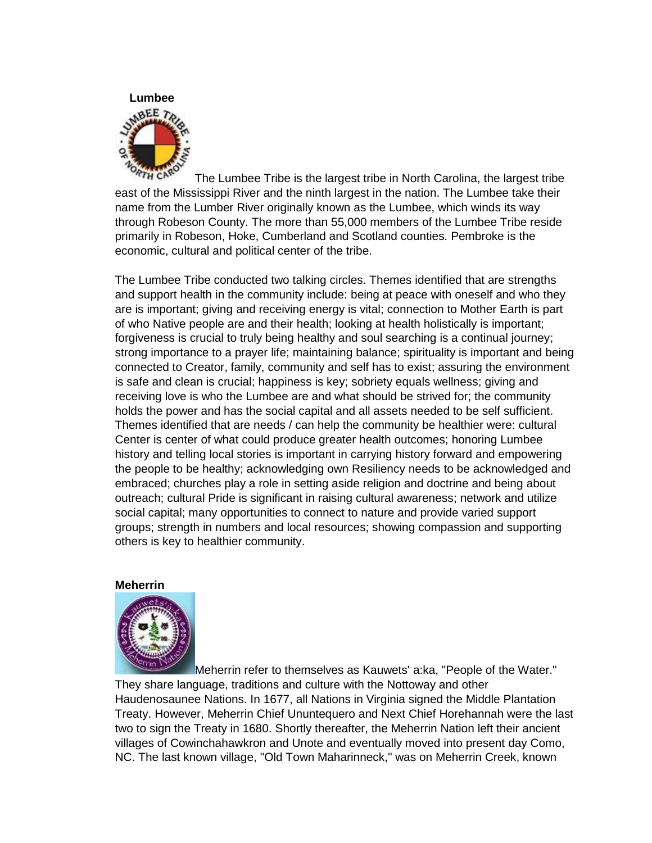

The Lumbee Tribe is the largest tribe in North Carolina, the largest tribe east of the Mississippi River and the ninth largest in the nation. The Lumbee take their name from the Lumber River originally known as the Lumbee, which winds its way through Robeson County. The more than 55,000 members of the Lumbee Tribe reside primarily in Robeson, Hoke, Cumberland and Scotland counties. Pembroke is the economic, cultural and political center of the tribe.

The Lumbee Tribe conducted two talking circles. Themes identified that are strengths and support health in the community include: being at peace with oneself and who they are is important; giving and receiving energy is vital; connection to Mother Earth is part of who Native people are and their health; looking at health holistically is important; forgiveness is crucial to truly being healthy and soul searching is a continual journey; strong importance to a prayer life; maintaining balance; spirituality is important and being connected to Creator, family, community and self has to exist; assuring the environment is safe and clean is crucial; happiness is key; sobriety equals wellness; giving and receiving love is who the Lumbee are and what should be strived for; the community holds the power and has the social capital and all assets needed to be self sufficient. Themes identified that are needs / can help the community be healthier were: cultural Center is center of what could produce greater health outcomes; honoring Lumbee history and telling local stories is important in carrying history forward and empowering the people to be healthy; acknowledging own Resiliency needs to be acknowledged and embraced; churches play a role in setting aside religion and doctrine and being about outreach; cultural Pride is significant in raising cultural awareness; network and utilize social capital; many opportunities to connect to nature and provide varied support groups; strength in numbers and local resources; showing compassion and supporting others is key to healthier community.

#### **Meherrin**



Meherrin refer to themselves as Kauwets' a:ka, "People of the Water." They share language, traditions and culture with the Nottoway and other Haudenosaunee Nations. In 1677, all Nations in Virginia signed the Middle Plantation Treaty. However, Meherrin Chief Ununtequero and Next Chief Horehannah were the last two to sign the Treaty in 1680. Shortly thereafter, the Meherrin Nation left their ancient villages of Cowinchahawkron and Unote and eventually moved into present day Como, NC. The last known village, "Old Town Maharinneck," was on Meherrin Creek, known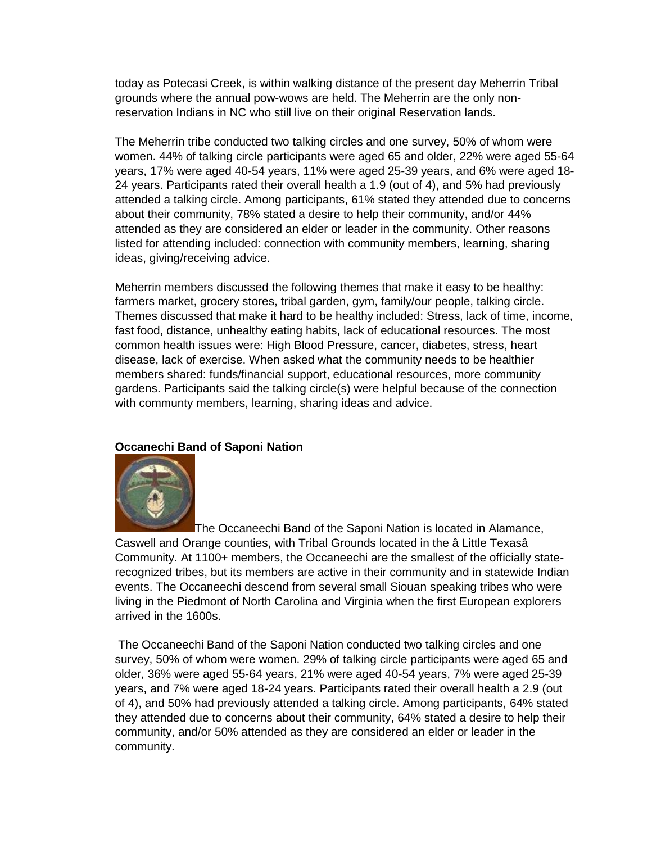today as Potecasi Creek, is within walking distance of the present day Meherrin Tribal grounds where the annual pow-wows are held. The Meherrin are the only nonreservation Indians in NC who still live on their original Reservation lands.

The Meherrin tribe conducted two talking circles and one survey, 50% of whom were women. 44% of talking circle participants were aged 65 and older, 22% were aged 55-64 years, 17% were aged 40-54 years, 11% were aged 25-39 years, and 6% were aged 18- 24 years. Participants rated their overall health a 1.9 (out of 4), and 5% had previously attended a talking circle. Among participants, 61% stated they attended due to concerns about their community, 78% stated a desire to help their community, and/or 44% attended as they are considered an elder or leader in the community. Other reasons listed for attending included: connection with community members, learning, sharing ideas, giving/receiving advice.

Meherrin members discussed the following themes that make it easy to be healthy: farmers market, grocery stores, tribal garden, gym, family/our people, talking circle. Themes discussed that make it hard to be healthy included: Stress, lack of time, income, fast food, distance, unhealthy eating habits, lack of educational resources. The most common health issues were: High Blood Pressure, cancer, diabetes, stress, heart disease, lack of exercise. When asked what the community needs to be healthier members shared: funds/financial support, educational resources, more community gardens. Participants said the talking circle(s) were helpful because of the connection with communty members, learning, sharing ideas and advice.

## **Occanechi Band of Saponi Nation**



The Occaneechi Band of the Saponi Nation is located in Alamance, Caswell and Orange counties, with Tribal Grounds located in the â Little Texasâ Community. At 1100+ members, the Occaneechi are the smallest of the officially staterecognized tribes, but its members are active in their community and in statewide Indian events. The Occaneechi descend from several small Siouan speaking tribes who were living in the Piedmont of North Carolina and Virginia when the first European explorers arrived in the 1600s.

The Occaneechi Band of the Saponi Nation conducted two talking circles and one survey, 50% of whom were women. 29% of talking circle participants were aged 65 and older, 36% were aged 55-64 years, 21% were aged 40-54 years, 7% were aged 25-39 years, and 7% were aged 18-24 years. Participants rated their overall health a 2.9 (out of 4), and 50% had previously attended a talking circle. Among participants, 64% stated they attended due to concerns about their community, 64% stated a desire to help their community, and/or 50% attended as they are considered an elder or leader in the community.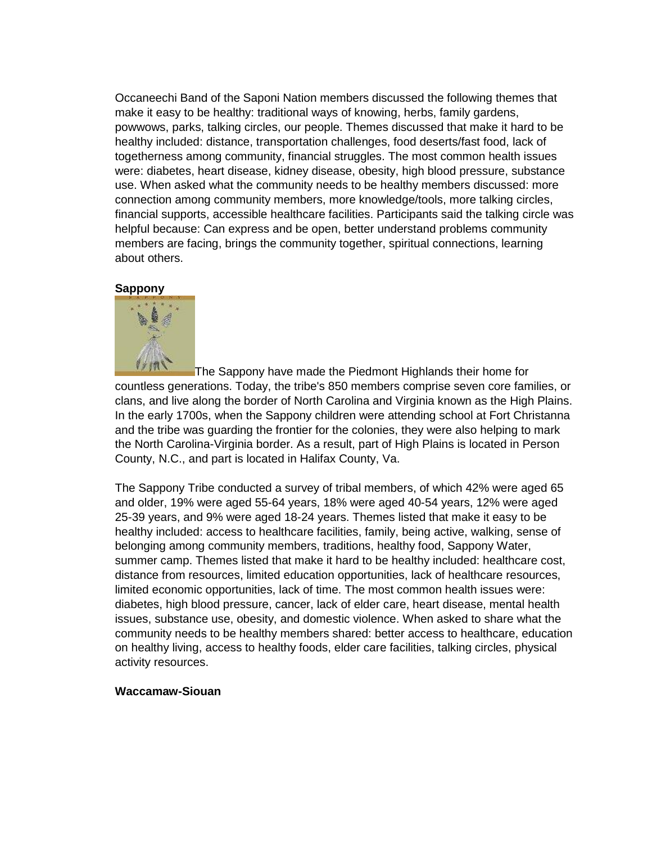Occaneechi Band of the Saponi Nation members discussed the following themes that make it easy to be healthy: traditional ways of knowing, herbs, family gardens, powwows, parks, talking circles, our people. Themes discussed that make it hard to be healthy included: distance, transportation challenges, food deserts/fast food, lack of togetherness among community, financial struggles. The most common health issues were: diabetes, heart disease, kidney disease, obesity, high blood pressure, substance use. When asked what the community needs to be healthy members discussed: more connection among community members, more knowledge/tools, more talking circles, financial supports, accessible healthcare facilities. Participants said the talking circle was helpful because: Can express and be open, better understand problems community members are facing, brings the community together, spiritual connections, learning about others.

## **Sappony**



The Sappony have made the Piedmont Highlands their home for countless generations. Today, the tribe's 850 members comprise seven core families, or clans, and live along the border of North Carolina and Virginia known as the High Plains. In the early 1700s, when the Sappony children were attending school at Fort Christanna and the tribe was guarding the frontier for the colonies, they were also helping to mark the North Carolina-Virginia border. As a result, part of High Plains is located in Person County, N.C., and part is located in Halifax County, Va.

The Sappony Tribe conducted a survey of tribal members, of which 42% were aged 65 and older, 19% were aged 55-64 years, 18% were aged 40-54 years, 12% were aged 25-39 years, and 9% were aged 18-24 years. Themes listed that make it easy to be healthy included: access to healthcare facilities, family, being active, walking, sense of belonging among community members, traditions, healthy food, Sappony Water, summer camp. Themes listed that make it hard to be healthy included: healthcare cost, distance from resources, limited education opportunities, lack of healthcare resources, limited economic opportunities, lack of time. The most common health issues were: diabetes, high blood pressure, cancer, lack of elder care, heart disease, mental health issues, substance use, obesity, and domestic violence. When asked to share what the community needs to be healthy members shared: better access to healthcare, education on healthy living, access to healthy foods, elder care facilities, talking circles, physical activity resources.

## **Waccamaw-Siouan**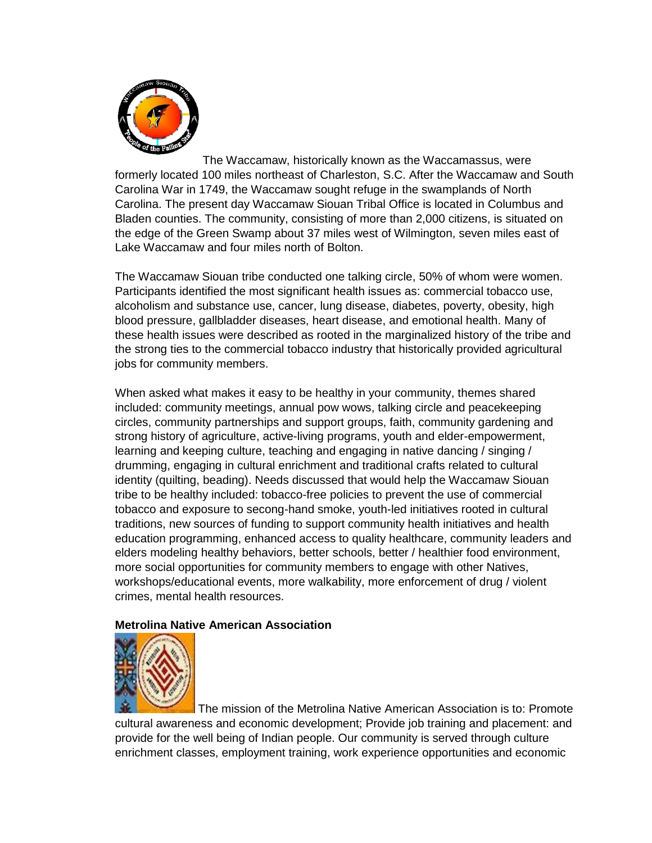

The Waccamaw, historically known as the Waccamassus, were formerly located 100 miles northeast of Charleston, S.C. After the Waccamaw and South Carolina War in 1749, the Waccamaw sought refuge in the swamplands of North Carolina. The present day Waccamaw Siouan Tribal Office is located in Columbus and Bladen counties. The community, consisting of more than 2,000 citizens, is situated on the edge of the Green Swamp about 37 miles west of Wilmington, seven miles east of Lake Waccamaw and four miles north of Bolton.

The Waccamaw Siouan tribe conducted one talking circle, 50% of whom were women. Participants identified the most significant health issues as: commercial tobacco use, alcoholism and substance use, cancer, lung disease, diabetes, poverty, obesity, high blood pressure, gallbladder diseases, heart disease, and emotional health. Many of these health issues were described as rooted in the marginalized history of the tribe and the strong ties to the commercial tobacco industry that historically provided agricultural jobs for community members.

When asked what makes it easy to be healthy in your community, themes shared included: community meetings, annual pow wows, talking circle and peacekeeping circles, community partnerships and support groups, faith, community gardening and strong history of agriculture, active-living programs, youth and elder-empowerment, learning and keeping culture, teaching and engaging in native dancing / singing / drumming, engaging in cultural enrichment and traditional crafts related to cultural identity (quilting, beading). Needs discussed that would help the Waccamaw Siouan tribe to be healthy included: tobacco-free policies to prevent the use of commercial tobacco and exposure to secong-hand smoke, youth-led initiatives rooted in cultural traditions, new sources of funding to support community health initiatives and health education programming, enhanced access to quality healthcare, community leaders and elders modeling healthy behaviors, better schools, better / healthier food environment, more social opportunities for community members to engage with other Natives, workshops/educational events, more walkability, more enforcement of drug / violent crimes, mental health resources.

# **Metrolina Native American Association**



The mission of the Metrolina Native American Association is to: Promote cultural awareness and economic development; Provide job training and placement: and provide for the well being of Indian people. Our community is served through culture enrichment classes, employment training, work experience opportunities and economic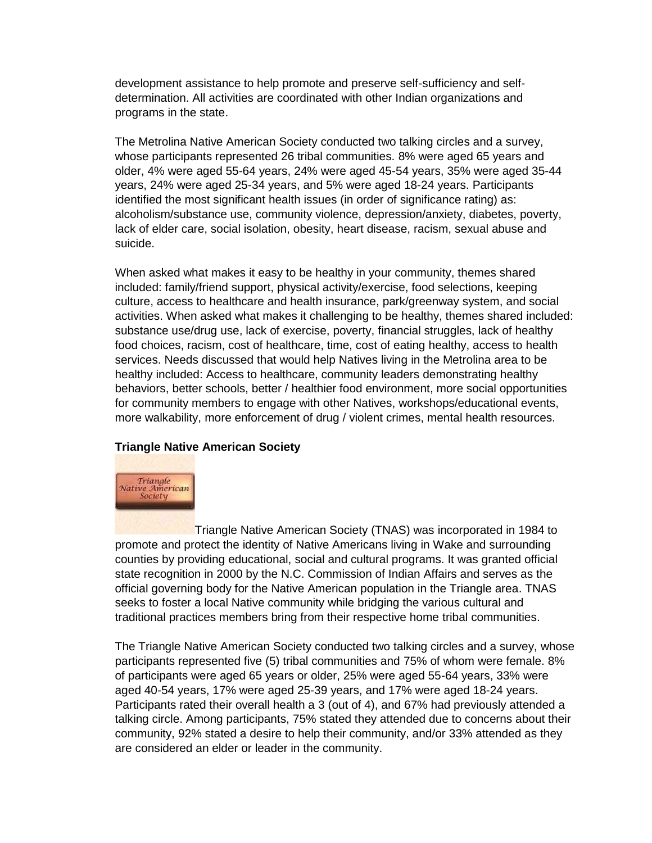development assistance to help promote and preserve self-sufficiency and selfdetermination. All activities are coordinated with other Indian organizations and programs in the state.

The Metrolina Native American Society conducted two talking circles and a survey, whose participants represented 26 tribal communities. 8% were aged 65 years and older, 4% were aged 55-64 years, 24% were aged 45-54 years, 35% were aged 35-44 years, 24% were aged 25-34 years, and 5% were aged 18-24 years. Participants identified the most significant health issues (in order of significance rating) as: alcoholism/substance use, community violence, depression/anxiety, diabetes, poverty, lack of elder care, social isolation, obesity, heart disease, racism, sexual abuse and suicide.

When asked what makes it easy to be healthy in your community, themes shared included: family/friend support, physical activity/exercise, food selections, keeping culture, access to healthcare and health insurance, park/greenway system, and social activities. When asked what makes it challenging to be healthy, themes shared included: substance use/drug use, lack of exercise, poverty, financial struggles, lack of healthy food choices, racism, cost of healthcare, time, cost of eating healthy, access to health services. Needs discussed that would help Natives living in the Metrolina area to be healthy included: Access to healthcare, community leaders demonstrating healthy behaviors, better schools, better / healthier food environment, more social opportunities for community members to engage with other Natives, workshops/educational events, more walkability, more enforcement of drug / violent crimes, mental health resources.

## **Triangle Native American Society**



Triangle Native American Society (TNAS) was incorporated in 1984 to promote and protect the identity of Native Americans living in Wake and surrounding counties by providing educational, social and cultural programs. It was granted official state recognition in 2000 by the N.C. Commission of Indian Affairs and serves as the official governing body for the Native American population in the Triangle area. TNAS seeks to foster a local Native community while bridging the various cultural and traditional practices members bring from their respective home tribal communities.

The Triangle Native American Society conducted two talking circles and a survey, whose participants represented five (5) tribal communities and 75% of whom were female. 8% of participants were aged 65 years or older, 25% were aged 55-64 years, 33% were aged 40-54 years, 17% were aged 25-39 years, and 17% were aged 18-24 years. Participants rated their overall health a 3 (out of 4), and 67% had previously attended a talking circle. Among participants, 75% stated they attended due to concerns about their community, 92% stated a desire to help their community, and/or 33% attended as they are considered an elder or leader in the community.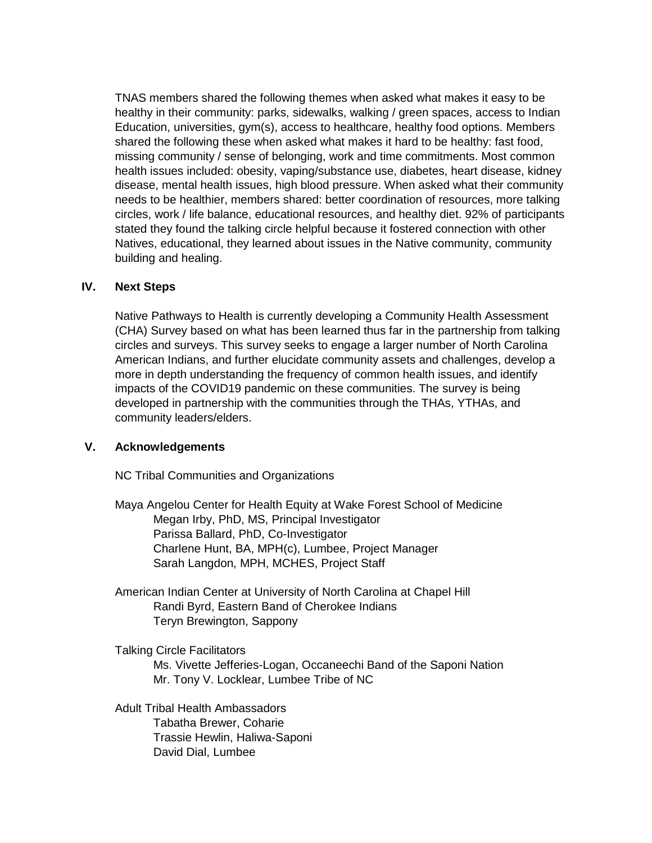TNAS members shared the following themes when asked what makes it easy to be healthy in their community: parks, sidewalks, walking / green spaces, access to Indian Education, universities, gym(s), access to healthcare, healthy food options. Members shared the following these when asked what makes it hard to be healthy: fast food, missing community / sense of belonging, work and time commitments. Most common health issues included: obesity, vaping/substance use, diabetes, heart disease, kidney disease, mental health issues, high blood pressure. When asked what their community needs to be healthier, members shared: better coordination of resources, more talking circles, work / life balance, educational resources, and healthy diet. 92% of participants stated they found the talking circle helpful because it fostered connection with other Natives, educational, they learned about issues in the Native community, community building and healing.

## **IV. Next Steps**

Native Pathways to Health is currently developing a Community Health Assessment (CHA) Survey based on what has been learned thus far in the partnership from talking circles and surveys. This survey seeks to engage a larger number of North Carolina American Indians, and further elucidate community assets and challenges, develop a more in depth understanding the frequency of common health issues, and identify impacts of the COVID19 pandemic on these communities. The survey is being developed in partnership with the communities through the THAs, YTHAs, and community leaders/elders.

## **V. Acknowledgements**

NC Tribal Communities and Organizations

Maya Angelou Center for Health Equity at Wake Forest School of Medicine Megan Irby, PhD, MS, Principal Investigator Parissa Ballard, PhD, Co-Investigator Charlene Hunt, BA, MPH(c), Lumbee, Project Manager Sarah Langdon, MPH, MCHES, Project Staff

American Indian Center at University of North Carolina at Chapel Hill Randi Byrd, Eastern Band of Cherokee Indians Teryn Brewington, Sappony

Talking Circle Facilitators Ms. Vivette Jefferies-Logan, Occaneechi Band of the Saponi Nation Mr. Tony V. Locklear, Lumbee Tribe of NC

Adult Tribal Health Ambassadors Tabatha Brewer, Coharie Trassie Hewlin, Haliwa-Saponi David Dial, Lumbee